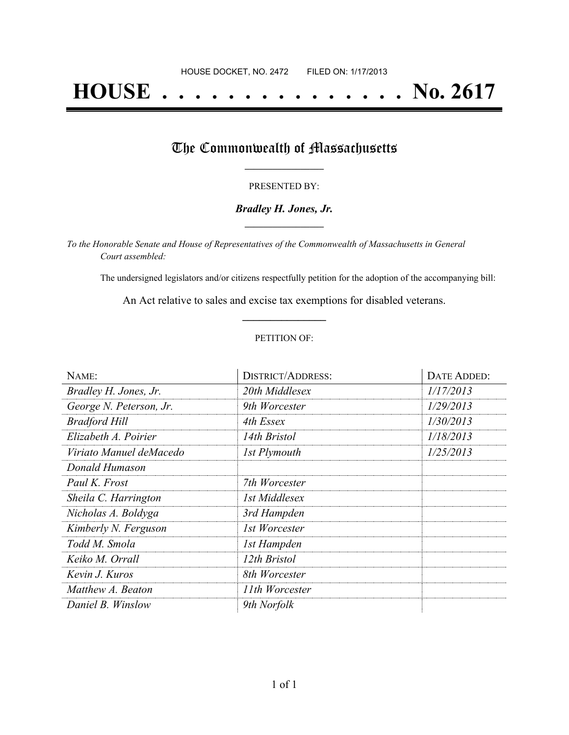# **HOUSE . . . . . . . . . . . . . . . No. 2617**

### The Commonwealth of Massachusetts

#### PRESENTED BY:

#### *Bradley H. Jones, Jr.* **\_\_\_\_\_\_\_\_\_\_\_\_\_\_\_\_\_**

*To the Honorable Senate and House of Representatives of the Commonwealth of Massachusetts in General Court assembled:*

The undersigned legislators and/or citizens respectfully petition for the adoption of the accompanying bill:

An Act relative to sales and excise tax exemptions for disabled veterans. **\_\_\_\_\_\_\_\_\_\_\_\_\_\_\_**

#### PETITION OF:

| NAME:                   | <b>DISTRICT/ADDRESS:</b> | DATE ADDED: |
|-------------------------|--------------------------|-------------|
| Bradley H. Jones, Jr.   | 20th Middlesex           | 1/17/2013   |
| George N. Peterson, Jr. | 9th Worcester            | 1/29/2013   |
| <b>Bradford Hill</b>    | 4th Essex                | 1/30/2013   |
| Elizabeth A. Poirier    | 14th Bristol             | 1/18/2013   |
| Viriato Manuel deMacedo | 1st Plymouth             | 1/25/2013   |
| Donald Humason          |                          |             |
| Paul K. Frost           | 7th Worcester            |             |
| Sheila C. Harrington    | 1st Middlesex            |             |
| Nicholas A. Boldyga     | 3rd Hampden              |             |
| Kimberly N. Ferguson    | 1st Worcester            |             |
| Todd M. Smola           | 1st Hampden              |             |
| Keiko M. Orrall         | 12th Bristol             |             |
| Kevin J. Kuros          | 8th Worcester            |             |
| Matthew A. Beaton       | 11th Worcester           |             |
| Daniel B. Winslow       | 9th Norfolk              |             |